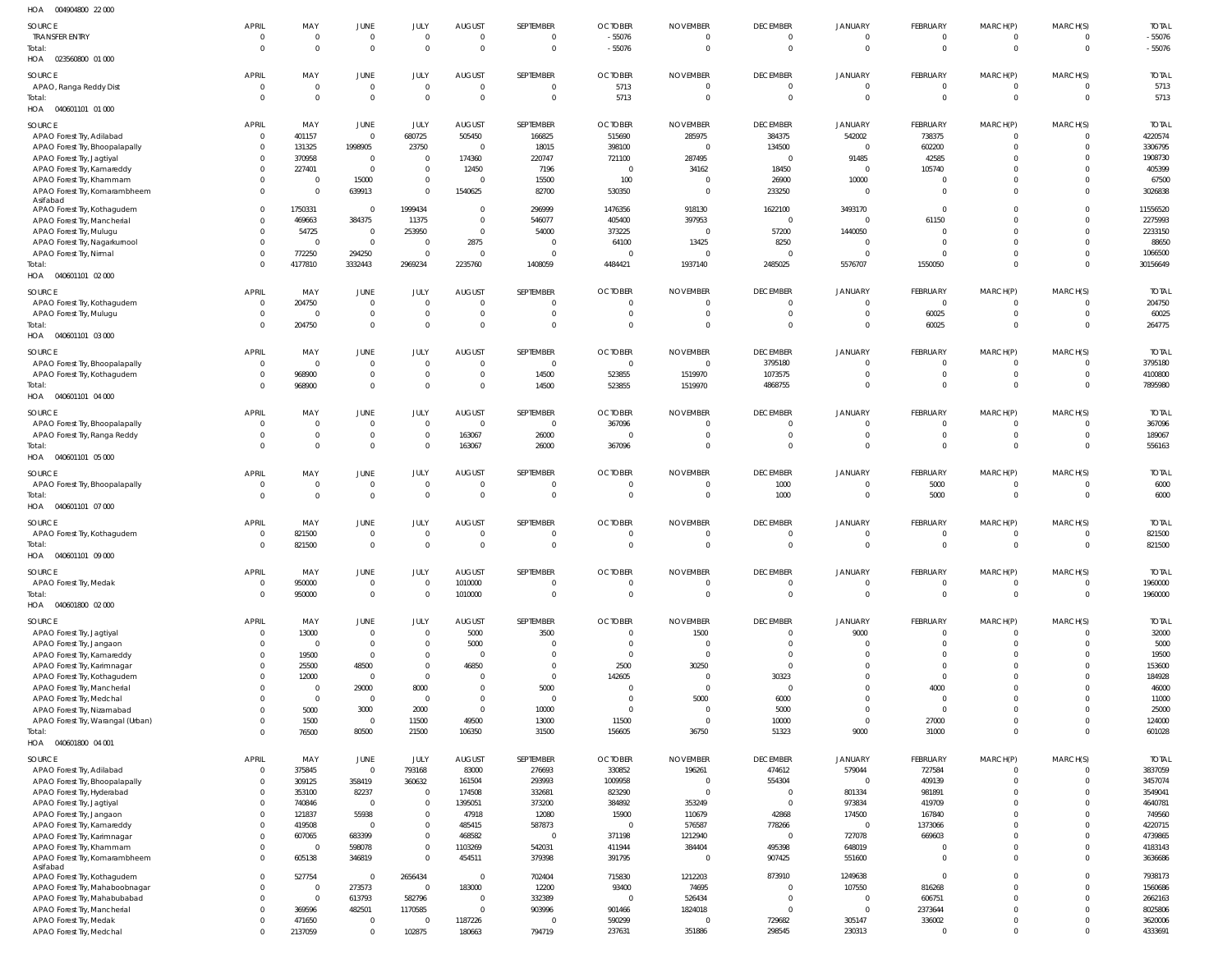| HOA   004904800   22 000                                       |                                |                                           |                               |                              |                                   |                       |                                  |                                |                                   |                                  |                            |                                  |                            |                         |
|----------------------------------------------------------------|--------------------------------|-------------------------------------------|-------------------------------|------------------------------|-----------------------------------|-----------------------|----------------------------------|--------------------------------|-----------------------------------|----------------------------------|----------------------------|----------------------------------|----------------------------|-------------------------|
| SOURCE                                                         | <b>APRIL</b>                   | MAY                                       | JUNE                          | JULY                         | <b>AUGUST</b>                     | SEPTEMBER             | <b>OCTOBER</b>                   | <b>NOVEMBER</b>                | <b>DECEMBER</b>                   | <b>JANUARY</b>                   | FEBRUARY                   | MARCH(P)                         | MARCH(S)                   | <b>TOTAL</b>            |
| <b>TRANSFER ENTRY</b>                                          | $\overline{0}$                 | $\overline{0}$                            | 0                             | $\overline{0}$               | $\overline{0}$                    | - 0                   | $-55076$                         | $\mathbf 0$                    | $\overline{0}$                    | $\overline{0}$                   | $\Omega$                   | 0                                | $\overline{0}$             | $-55076$                |
| Total:<br>HOA  023560800  01 000                               | $\Omega$                       | $\mathbf{0}$                              | $\mathbf 0$                   | $\mathbf{0}$                 | $\overline{0}$                    | $\overline{0}$        | $-55076$                         | $\mathbf 0$                    | $\overline{0}$                    | $\overline{0}$                   | $\overline{0}$             | $\mathbf 0$                      | $\overline{0}$             | $-55076$                |
| SOURCE                                                         | <b>APRIL</b>                   | MAY                                       | JUNE                          | JULY                         | <b>AUGUST</b>                     | SEPTEMBER             | <b>OCTOBER</b>                   | <b>NOVEMBER</b>                | <b>DECEMBER</b>                   | <b>JANUARY</b>                   | FEBRUARY                   | MARCH(P)                         | MARCH(S)                   | <b>TOTAL</b>            |
| APAO, Ranga Reddy Dist                                         | $\Omega$                       | $\mathbf 0$                               | $\mathbf 0$                   | $\Omega$                     | $\overline{0}$                    | $\Omega$              | 5713                             | $\overline{0}$                 | $\Omega$                          | $\overline{0}$                   | $\Omega$                   | $\overline{0}$                   | $\overline{0}$             | 5713                    |
| Total:                                                         | $\Omega$                       | $\overline{0}$                            | $\overline{0}$                | $\Omega$                     | $\overline{0}$                    | $\Omega$              | 5713                             | $\mathbf{0}$                   | $\Omega$                          | $\Omega$                         | $\Omega$                   | $\overline{0}$                   | $\overline{0}$             | 5713                    |
| HOA  040601101  01  000                                        |                                |                                           |                               |                              |                                   |                       |                                  |                                |                                   |                                  |                            |                                  |                            |                         |
| SOURCE                                                         | <b>APRIL</b>                   | MAY                                       | JUNE                          | JULY                         | AUGUST                            | SEPTEMBER             | <b>OCTOBER</b>                   | NOVEMBER                       | <b>DECEMBER</b>                   | <b>JANUARY</b>                   | FEBRUARY                   | MARCH(P)                         | MARCH(S)                   | <b>TOTAL</b>            |
| APAO Forest Try, Adilabad                                      | $\overline{0}$                 | 401157                                    | $\mathbf 0$                   | 680725                       | 505450                            | 166825                | 515690                           | 285975                         | 384375                            | 542002                           | 738375                     | $\overline{0}$                   | $\overline{0}$             | 4220574                 |
| APAO Forest Try, Bhoopalapally<br>APAO Forest Try, Jagtiyal    | $\overline{0}$<br>$\Omega$     | 131325<br>370958                          | 1998905<br>$\overline{0}$     | 23750<br>$\mathbf 0$         | $\overline{\mathbf{0}}$<br>174360 | 18015<br>220747       | 398100<br>721100                 | $\overline{0}$<br>287495       | 134500<br>$\overline{0}$          | $\overline{0}$<br>91485          | 602200<br>42585            | $\overline{0}$<br>$\Omega$       | $\mathbf{0}$<br>$\Omega$   | 3306795<br>1908730      |
| APAO Forest Try, Kamareddy                                     | $\Omega$                       | 227401                                    | $\mathbf 0$                   | $\overline{0}$               | 12450                             | 7196                  | $\Omega$                         | 34162                          | 18450                             | $\overline{0}$                   | 105740                     | $\Omega$                         | $\Omega$                   | 405399                  |
| APAO Forest Try, Khammam                                       | $\Omega$                       | $\overline{\mathbf{0}}$                   | 15000                         | $\overline{0}$               | $\overline{\mathbf{0}}$           | 15500                 | 100                              | $\mathbf 0$                    | 26900                             | 10000                            |                            | $\Omega$                         | $\Omega$                   | 67500                   |
| APAO Forest Try, Komarambheem                                  | $\Omega$                       | $\overline{0}$                            | 639913                        | $\Omega$                     | 1540625                           | 82700                 | 530350                           | $\mathbf 0$                    | 233250                            | $\overline{0}$                   |                            | $\Omega$                         | $\Omega$                   | 3026838                 |
| Asifabad<br>APAO Forest Try, Kothagudem                        | $\Omega$                       | 1750331                                   | $\overline{0}$                | 1999434                      | $\overline{0}$                    | 296999                | 1476356                          | 918130                         | 1622100                           | 3493170                          |                            | $\Omega$                         | $\Omega$                   | 11556520                |
| APAO Forest Try, Mancherial                                    | $\Omega$                       | 469663                                    | 384375                        | 11375                        | $\overline{0}$                    | 546077                | 405400                           | 397953                         | $\overline{0}$                    | $\overline{0}$                   | 61150                      | $\Omega$                         | $\Omega$                   | 2275993                 |
| APAO Forest Try, Mulugu                                        | $\Omega$                       | 54725                                     | $\overline{0}$                | 253950                       | $\overline{0}$                    | 54000                 | 373225                           | $\overline{0}$                 | 57200                             | 1440050                          |                            | $\Omega$                         | $\Omega$                   | 2233150                 |
| APAO Forest Try, Nagarkurnool                                  | $\Omega$                       | $\overline{0}$                            | $\overline{0}$                | $\Omega$                     | 2875                              | - 0                   | 64100                            | 13425                          | 8250                              | $\overline{0}$                   |                            | $\Omega$                         | $\Omega$                   | 88650                   |
| APAO Forest Try, Nirmal                                        | $\Omega$<br>$\Omega$           | 772250                                    | 294250                        | $\Omega$                     | $\overline{0}$                    | - 0                   |                                  | $\mathbf{0}$                   | $\Omega$                          | $\overline{0}$                   |                            | $\Omega$                         | $\Omega$<br>$\Omega$       | 1066500                 |
| Total:<br>HOA   040601101   02   000                           |                                | 4177810                                   | 3332443                       | 2969234                      | 2235760                           | 1408059               | 4484421                          | 1937140                        | 2485025                           | 5576707                          | 1550050                    | $\overline{0}$                   |                            | 30156649                |
|                                                                |                                |                                           |                               |                              |                                   |                       |                                  |                                |                                   |                                  |                            |                                  |                            |                         |
| SOURCE<br>APAO Forest Try, Kothagudem                          | <b>APRIL</b><br>$\mathbf 0$    | MAY<br>204750                             | JUNE<br>$\mathbf 0$           | <b>JULY</b><br>$\Omega$      | <b>AUGUST</b><br>$\overline{0}$   | SEPTEMBER<br>$\Omega$ | <b>OCTOBER</b><br>$\Omega$       | <b>NOVEMBER</b><br>$\mathbf 0$ | <b>DECEMBER</b><br>$\Omega$       | <b>JANUARY</b><br>$\Omega$       | FEBRUARY<br>- 0            | MARCH(P)<br>$\Omega$             | MARCH(S)<br>$\Omega$       | <b>TOTAI</b><br>204750  |
| APAO Forest Try, Mulugu                                        | $\Omega$                       | $\Omega$                                  | $\mathbf 0$                   | $\Omega$                     | $\overline{0}$                    | - 0                   | $\Omega$                         | $\mathbf{0}$                   | 0                                 | $\overline{0}$                   | 60025                      | $\overline{0}$                   | $\mathbf{0}$               | 60025                   |
| Total:                                                         | $\Omega$                       | 204750                                    | $\mathbf 0$                   | $\Omega$                     | $\overline{0}$                    | $\Omega$              | $\Omega$                         | $\Omega$                       | $\Omega$                          | $\mathbf 0$                      | 60025                      | $\overline{0}$                   | $\overline{0}$             | 264775                  |
| HOA  040601101  03  000                                        |                                |                                           |                               |                              |                                   |                       |                                  |                                |                                   |                                  |                            |                                  |                            |                         |
| SOURCE                                                         | <b>APRIL</b>                   | MAY                                       | JUNE                          | <b>JULY</b>                  | AUGUST                            | SEPTEMBER             | <b>OCTOBER</b>                   | <b>NOVEMBER</b>                | <b>DECEMBER</b>                   | JANUARY                          | FEBRUARY                   | MARCH(P)                         | MARCH(S)                   | <b>TOTAL</b>            |
| APAO Forest Try, Bhoopalapally                                 | $\Omega$                       | $\overline{0}$                            | $\overline{0}$                | $\Omega$                     | $\overline{0}$                    | - 0                   | $\overline{0}$                   | $\overline{0}$                 | 3795180                           | $\overline{0}$                   | - 0                        | $\overline{0}$                   | $\Omega$                   | 3795180                 |
| APAO Forest Try, Kothagudem                                    | $\Omega$                       | 968900                                    | $\boldsymbol{0}$              | $\overline{0}$               | $\overline{0}$                    | 14500                 | 523855                           | 1519970                        | 1073575                           | - 0                              | - 0                        | $\overline{0}$                   | $\mathbf{0}$               | 4100800                 |
| Total:<br>HOA  040601101  04  000                              | $\Omega$                       | 968900                                    | $\mathbf 0$                   | $\mathbf{0}$                 | $\overline{0}$                    | 14500                 | 523855                           | 1519970                        | 4868755                           | $\overline{0}$                   | $\Omega$                   | $\mathbf 0$                      | $\overline{0}$             | 7895980                 |
|                                                                |                                |                                           |                               |                              |                                   |                       |                                  |                                |                                   |                                  |                            |                                  |                            |                         |
| SOURCE<br>APAO Forest Try, Bhoopalapally                       | <b>APRIL</b><br>$\Omega$       | MAY<br>$\overline{0}$                     | JUNE<br>$\mathbf 0$           | JULY<br>$\Omega$             | AUGUST<br>$\overline{0}$          | SEPTEMBER<br>$\Omega$ | <b>OCTOBER</b><br>367096         | <b>NOVEMBER</b><br>$\mathbf 0$ | <b>DECEMBER</b><br>$\Omega$       | JANUARY<br>$\overline{0}$        | FEBRUARY                   | MARCH(P)<br>$\Omega$             | MARCH(S)<br>$\mathbf{0}$   | <b>TOTAL</b><br>367096  |
| APAO Forest Try, Ranga Reddy                                   |                                | $\overline{0}$                            | $\mathbf 0$                   | $\overline{0}$               | 163067                            | 26000                 |                                  | $\mathbf 0$                    | 0                                 | $\overline{0}$                   |                            | $\overline{0}$                   | $\mathbf{0}$               | 189067                  |
| Total:                                                         |                                | $\Omega$                                  | $\mathbf 0$                   | $\overline{0}$               | 163067                            | 26000                 | 367096                           | $\mathbf{0}$                   | $\overline{0}$                    | $\overline{0}$                   | $\Omega$                   | $\overline{0}$                   | $\overline{0}$             | 556163                  |
| HOA  040601101  05  000                                        |                                |                                           |                               |                              |                                   |                       |                                  |                                |                                   |                                  |                            |                                  |                            |                         |
| SOURCE                                                         | <b>APRIL</b>                   | MAY                                       | JUNE                          | JULY                         | <b>AUGUST</b>                     | SEPTEMBER             | <b>OCTOBER</b>                   | <b>NOVEMBER</b>                | <b>DECEMBER</b>                   | <b>JANUARY</b>                   | FEBRUARY                   | MARCH(P)                         | MARCH(S)                   | <b>TOTAL</b>            |
| APAO Forest Try, Bhoopalapally                                 | $\Omega$                       | $\overline{0}$                            | $\mathbf 0$                   | $\overline{0}$               | $\overline{0}$                    | - 0                   | $\Omega$                         | $\mathbf 0$                    | 1000                              | $\overline{0}$                   | 5000                       | $\overline{0}$                   | $\overline{0}$             | 6000                    |
| Total:                                                         | $\Omega$                       | $\overline{0}$                            | $\mathbf 0$                   | $\Omega$                     | $\overline{0}$                    | $\Omega$              | $\overline{0}$                   | $\mathbf 0$                    | 1000                              | $\overline{0}$                   | 5000                       | $\mathbf 0$                      | $\overline{0}$             | 6000                    |
| HOA  040601101  07 000                                         |                                |                                           |                               |                              |                                   |                       |                                  |                                |                                   |                                  |                            |                                  |                            |                         |
| SOURCE                                                         | <b>APRIL</b>                   | MAY                                       | JUNE                          | JULY                         | <b>AUGUST</b>                     | SEPTEMBER             | <b>OCTOBER</b>                   | <b>NOVEMBER</b>                | <b>DECEMBER</b>                   | JANUARY                          | FEBRUARY                   | MARCH(P)                         | MARCH(S)                   | <b>TOTAL</b>            |
| APAO Forest Try, Kothagudem                                    | $\Omega$<br>$\Omega$           | 821500                                    | $\overline{0}$<br>$\mathbf 0$ | $\Omega$<br>$\Omega$         | $\overline{0}$<br>$\overline{0}$  | - 0<br>$\Omega$       | $\Omega$<br>$\Omega$             | $\mathbf{0}$<br>$\Omega$       | $\overline{0}$<br>$\Omega$        | $\overline{0}$<br>$\Omega$       | $\Omega$<br>$\Omega$       | $\overline{0}$<br>$\overline{0}$ | $\overline{0}$<br>$\Omega$ | 821500                  |
| Total:<br>HOA   040601101   09   000                           |                                | 821500                                    |                               |                              |                                   |                       |                                  |                                |                                   |                                  |                            |                                  |                            | 821500                  |
|                                                                |                                |                                           |                               |                              |                                   |                       |                                  |                                |                                   |                                  |                            |                                  |                            |                         |
| SOURCE<br>APAO Forest Try, Medak                               | <b>APRIL</b><br>$\Omega$       | MAY<br>950000                             | JUNE<br>$\overline{0}$        | JULY<br>$\Omega$             | <b>AUGUST</b><br>1010000          | SEPTEMBER<br>$\Omega$ | <b>OCTOBER</b><br>$\overline{0}$ | <b>NOVEMBER</b><br>$\mathbf 0$ | <b>DECEMBER</b><br>$\overline{0}$ | <b>JANUARY</b><br>$\overline{0}$ | FEBRUARY<br>$\overline{0}$ | MARCH(P)<br>$\overline{0}$       | MARCH(S)<br>$\overline{0}$ | <b>TOTAL</b><br>1960000 |
| Total:                                                         | $\Omega$                       | 950000                                    | $\mathbf 0$                   | $\Omega$                     | 1010000                           | $\Omega$              | $\Omega$                         | $\mathbf 0$                    | $\overline{0}$                    | $\overline{0}$                   | $\Omega$                   | $\mathbf 0$                      | $\overline{0}$             | 1960000                 |
| HOA  040601800  02  000                                        |                                |                                           |                               |                              |                                   |                       |                                  |                                |                                   |                                  |                            |                                  |                            |                         |
| SOURCE                                                         | <b>APRIL</b>                   | MAY                                       | JUNE                          | JULY                         | <b>AUGUST</b>                     | SEPTEMBER             | <b>OCTOBER</b>                   | <b>NOVEMBER</b>                | <b>DECEMBER</b>                   | <b>JANUARY</b>                   | FEBRUARY                   | MARCH(P)                         | MARCH(S)                   | <b>TOTAL</b>            |
| APAO Forest Try, Jagtiyal                                      | $\Omega$                       | 13000                                     | $\mathbf 0$                   | $\Omega$                     | 5000                              | 3500                  | $\Omega$                         | 1500                           | $\Omega$                          | 9000                             |                            | $\Omega$                         | $\Omega$                   | 32000                   |
| APAO Forest Try, Jangaon                                       | $\Omega$                       | $\Omega$                                  | $\mathbf 0$                   | $\Omega$                     | 5000                              | - 0                   | $\Omega$                         | $\overline{0}$                 | $\Omega$                          | $\overline{0}$                   |                            | $\Omega$                         | $\Omega$                   | 5000                    |
| APAO Forest Try, Kamareddy                                     |                                | 19500                                     | $\overline{0}$                | $\Omega$                     | $\overline{0}$                    |                       | $\Omega$                         | $\Omega$                       | $\Omega$                          | $\Omega$                         |                            | $\Omega$                         | $\Omega$                   | 19500                   |
| APAO Forest Try, Karimnagar                                    |                                | 25500                                     | 48500                         | $\Omega$<br>$\Omega$         | 46850                             | $\Omega$              | 2500                             | 30250                          | $\overline{0}$                    | $\Omega$                         |                            | $\Omega$                         | $\Omega$                   | 153600                  |
| APAO Forest Try, Kothagudem<br>APAO Forest Try, Mancherial     |                                | 12000<br>$\Omega$                         | $\overline{0}$<br>29000       | 8000                         | $\Omega$<br>$\Omega$              | $\Omega$<br>5000      | 142605<br>$\Omega$               | $\mathbf{0}$<br>$\overline{0}$ | 30323<br>$\Omega$                 | $\Omega$<br>$\Omega$             | 4000                       | $\Omega$<br>$\Omega$             | $\Omega$<br>$\Omega$       | 184928<br>46000         |
| APAO Forest Try, Medchal                                       |                                | $\Omega$                                  | $\overline{0}$                | $\Omega$                     | $\Omega$                          | $\Omega$              |                                  | 5000                           | 6000                              | $\Omega$                         |                            | $\Omega$                         | $\Omega$                   | 11000                   |
| APAO Forest Try, Nizamabad                                     |                                | 5000                                      | 3000                          | 2000                         | $\overline{0}$                    | 10000                 | $\Omega$                         | $\mathbf 0$                    | 5000                              | $\Omega$                         | - 0                        | $\Omega$                         | $\Omega$                   | 25000                   |
| APAO Forest Try, Warangal (Urban)                              |                                | 1500                                      | $\overline{0}$                | 11500                        | 49500                             | 13000                 | 11500                            | $\mathbf{0}$                   | 10000                             | $\overline{0}$                   | 27000                      | $\Omega$                         | $\Omega$                   | 124000                  |
| Total:<br>HOA  040601800  04  001                              |                                | 76500                                     | 80500                         | 21500                        | 106350                            | 31500                 | 156605                           | 36750                          | 51323                             | 9000                             | 31000                      | $\overline{0}$                   | $\mathbf{0}$               | 601028                  |
|                                                                |                                |                                           |                               |                              |                                   |                       |                                  |                                |                                   |                                  |                            |                                  |                            |                         |
| SOURCE                                                         | <b>APRIL</b><br>$\overline{0}$ | MAY<br>375845                             | JUNE<br>$\overline{0}$        | JULY<br>793168               | <b>AUGUST</b><br>83000            | SEPTEMBER<br>276693   | <b>OCTOBER</b><br>330852         | <b>NOVEMBER</b><br>196261      | <b>DECEMBER</b><br>474612         | <b>JANUARY</b><br>579044         | FEBRUARY<br>727584         | MARCH(P)<br>$\overline{0}$       | MARCH(S)<br>$\Omega$       | <b>TOTAL</b><br>3837059 |
| APAO Forest Try, Adilabad<br>APAO Forest Try, Bhoopalapally    | $\Omega$                       | 309125                                    | 358419                        | 360632                       | 161504                            | 293993                | 1009958                          | $\mathbf 0$                    | 554304                            | $\overline{0}$                   | 409139                     | $\overline{0}$                   | $\mathbf{0}$               | 3457074                 |
| APAO Forest Try, Hyderabad                                     | $\Omega$                       | 353100                                    | 82237                         | $\overline{0}$               | 174508                            | 332681                | 823290                           | $\mathbf 0$                    | $\Omega$                          | 801334                           | 981891                     | $\overline{0}$                   | $\Omega$                   | 3549041                 |
| APAO Forest Try, Jagtiyal                                      | $\Omega$                       | 740846                                    | $\overline{0}$                | $\overline{0}$               | 1395051                           | 373200                | 384892                           | 353249                         | $\overline{0}$                    | 973834                           | 419709                     | $\Omega$                         | $\Omega$                   | 4640781                 |
| APAO Forest Try, Jangaon                                       | $\Omega$                       | 121837                                    | 55938                         | $\mathbf{0}$                 | 47918                             | 12080                 | 15900                            | 110679                         | 42868                             | 174500                           | 167840                     | $\Omega$                         | $\Omega$                   | 749560                  |
| APAO Forest Try, Kamareddy                                     | $\Omega$                       | 419508                                    | $\mathbf 0$                   | $\Omega$                     | 485415                            | 587873                | $\Omega$                         | 576587                         | 778266                            | $\overline{0}$                   | 1373066                    | $\Omega$                         | $\Omega$                   | 4220715                 |
| APAO Forest Try, Karimnagar<br>APAO Forest Try, Khammam        | $\Omega$<br>$\Omega$           | 607065<br>0                               | 683399<br>598078              | $\mathbf{0}$<br>$\mathbf{0}$ | 468582<br>1103269                 | $\Omega$<br>542031    | 371198<br>411944                 | 1212940<br>384404              | $\overline{0}$<br>495398          | 727078<br>648019                 | 669603                     | $\Omega$<br>$\Omega$             | $\Omega$<br>$\Omega$       | 4739865<br>4183143      |
| APAO Forest Try, Komarambheem                                  | $\Omega$                       | 605138                                    | 346819                        | $\Omega$                     | 454511                            | 379398                | 391795                           | $\mathbf 0$                    | 907425                            | 551600                           |                            | $\mathbf 0$                      | $\Omega$                   | 3636686                 |
| Asifabad                                                       |                                |                                           |                               |                              |                                   |                       |                                  |                                |                                   |                                  |                            |                                  |                            |                         |
| APAO Forest Try, Kothagudem                                    | $\Omega$                       | 527754                                    | $\overline{0}$                | 2656434                      | $\overline{\phantom{0}}$          | 702404                | 715830                           | 1212203                        | 873910                            | 1249638                          | - 0                        | $\Omega$                         | $\Omega$                   | 7938173                 |
| APAO Forest Try, Mahaboobnagar<br>APAO Forest Try, Mahabubabad | $\Omega$<br>$\Omega$           | $\overline{0}$<br>$\overline{\mathbf{0}}$ | 273573<br>613793              | $\overline{0}$<br>582796     | 183000<br>$\overline{0}$          | 12200<br>332389       | 93400<br>$\Omega$                | 74695<br>526434                | $\Omega$<br>$\overline{0}$        | 107550<br>$\overline{0}$         | 816268<br>606751           | $\Omega$<br>$\Omega$             | $\Omega$<br>$\Omega$       | 1560686<br>2662163      |
| APAO Forest Try, Mancherial                                    | $\Omega$                       | 369596                                    | 482501                        | 1170585                      | $\overline{0}$                    | 903996                | 901466                           | 1824018                        | $\Omega$                          | $\overline{0}$                   | 2373644                    | $\Omega$                         | $\Omega$                   | 8025806                 |
| APAO Forest Try, Medak                                         |                                | 471650                                    | $\mathbf 0$                   | $\overline{0}$               | 1187226                           |                       | 590299                           | $\mathbf{0}$                   | 729682                            | 305147                           | 336002                     | $\mathbf 0$                      | $\mathbf{0}$               | 3620006                 |
| APAO Forest Try, Medchal                                       | $\Omega$                       | 2137059                                   | $\mathbf 0$                   | 102875                       | 180663                            | 794719                | 237631                           | 351886                         | 298545                            | 230313                           |                            | $\Omega$                         | $\Omega$                   | 4333691                 |